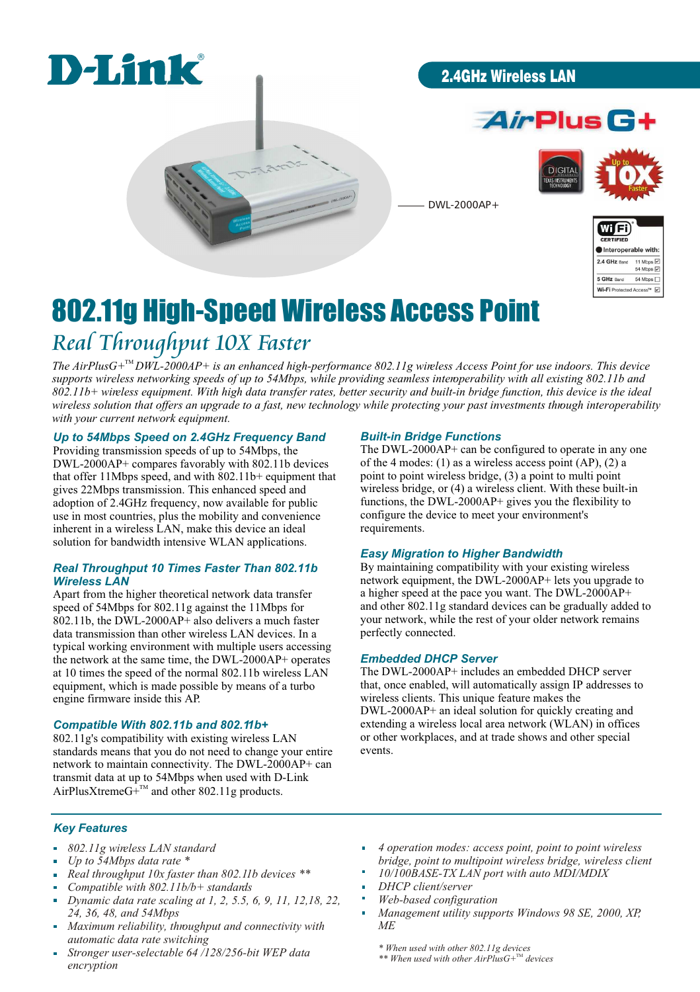

### 2.4GHz Wireless LAN





DWL-2000AP+



# 802.11g High-Speed Wireless Access Point *Real Throughput 10X Faster*

The  $AirPlusG+^mDWL-2000AP+$  is an enhanced high-performance 802.11g wireless Access Point for use indoors. This device *supports wireless networking speeds of up to 54Mbps, while providing seamless interoperability with all existing 802.11b and 802.11b+ wireless equipment. With high data transfer rates, better security and built-in bridge function, this device is the ideal wireless solution that offers an upgrade to a fast, new technology while protecting your past investments through interoperability with your current network equipment.*

### *Up to 54Mbps Speed on 2.4GHz Frequency Band*

Providing transmission speeds of up to 54Mbps, the DWL-2000AP+ compares favorably with 802.11b devices that offer 11Mbps speed, and with 802.11b+ equipment that gives 22Mbps transmission. This enhanced speed and adoption of 2.4GHz frequency, now available for public use in most countries, plus the mobility and convenience inherent in a wireless LAN, make this device an ideal solution for bandwidth intensive WLAN applications.

#### *Real Throughput 10 Times Faster Than 802.11b Wireless LAN*

Apart from the higher theoretical network data transfer speed of 54Mbps for 802.11g against the 11Mbps for 802.11b, the DWL-2000AP+ also delivers a much faster data transmission than other wireless LAN devices. In a typical working environment with multiple users accessing the network at the same time, the DWL-2000AP+ operates at 10 times the speed of the normal 802.11b wireless LAN equipment, which is made possible by means of a turbo engine firmware inside this AP.

#### *Compatible With 802.11b and 802.11b+*

802.11g's compatibility with existing wireless LAN standards means that you do not need to change your entire network to maintain connectivity. The DWL-2000AP+ can transmit data at up to 54Mbps when used with D-Link AirPlusXtremeG+ $^{TM}$  and other 802.11g products.

#### *Built-in Bridge Functions*

The DWL-2000AP+ can be configured to operate in any one of the 4 modes: (1) as a wireless access point (AP), (2) a point to point wireless bridge, (3) a point to multi point wireless bridge, or (4) a wireless client. With these built-in functions, the DWL-2000AP+ gives you the flexibility to configure the device to meet your environment's requirements.

#### *Easy Migration to Higher Bandwidth*

By maintaining compatibility with your existing wireless network equipment, the DWL-2000AP+ lets you upgrade to a higher speed at the pace you want. The DWL-2000AP+ and other 802.11g standard devices can be gradually added to your network, while the rest of your older network remains perfectly connected.

#### *Embedded DHCP Server*

The DWL-2000AP+ includes an embedded DHCP server that, once enabled, will automatically assign IP addresses to wireless clients. This unique feature makes the DWL-2000AP+ an ideal solution for quickly creating and extending a wireless local area network (WLAN) in offices or other workplaces, and at trade shows and other special events.

#### *Key Features*

- *802.11g wireless LAN standard*  $\mathbf{r}$
- $\frac{1}{2}$ *Up to 54Mbps data rate \**
- *Real throughput 10x faster than 802.11b devices \*\** ÷.
- *Compatible with 802.11b/b+ standards*
- *Dynamic data rate scaling at 1, 2, 5.5, 6, 9, 11, 12,18, 22,*   $\overline{a}$ *24, 36, 48, and 54Mbps*
- *Maximum reliability, throughput and connectivity with automatic data rate switching*
- *Stronger user-selectable 64 /128/256-bit WEP data encryption*
- *4 operation modes: access point, point to point wireless bridge, point to multipoint wireless bridge, wireless client*
- *10/100BASE-TX LAN port with auto MDI/MDIX*
- *DHCP client/server*
- *Web-based configuration*
- *Management utility supports Windows 98 SE, 2000, XP, ME*

*\* When used with other 802.11g devices*

\*\* When used with other AirPlusG+<sup>™</sup> devices